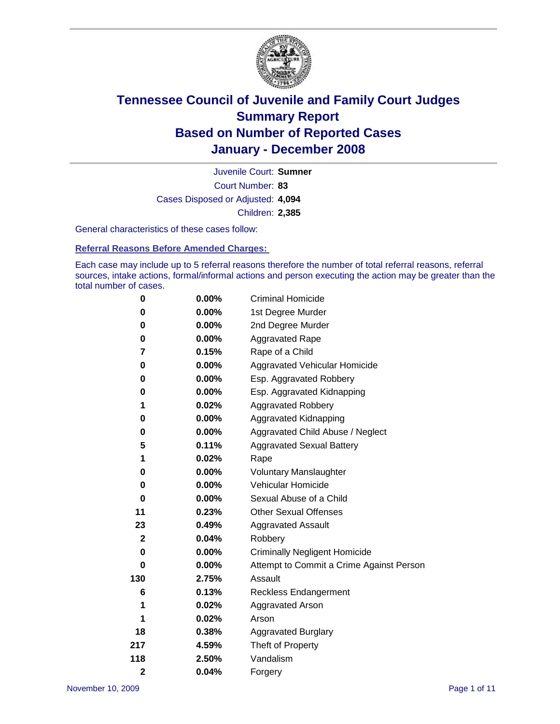

Court Number: **83** Juvenile Court: **Sumner** Cases Disposed or Adjusted: **4,094** Children: **2,385**

General characteristics of these cases follow:

**Referral Reasons Before Amended Charges:** 

Each case may include up to 5 referral reasons therefore the number of total referral reasons, referral sources, intake actions, formal/informal actions and person executing the action may be greater than the total number of cases.

| 0                       | $0.00\%$ | <b>Criminal Homicide</b>                 |
|-------------------------|----------|------------------------------------------|
| 0                       | 0.00%    | 1st Degree Murder                        |
| 0                       | $0.00\%$ | 2nd Degree Murder                        |
| 0                       | 0.00%    | <b>Aggravated Rape</b>                   |
| 7                       | 0.15%    | Rape of a Child                          |
| 0                       | 0.00%    | Aggravated Vehicular Homicide            |
| 0                       | 0.00%    | Esp. Aggravated Robbery                  |
| 0                       | $0.00\%$ | Esp. Aggravated Kidnapping               |
| 1                       | 0.02%    | <b>Aggravated Robbery</b>                |
| 0                       | $0.00\%$ | Aggravated Kidnapping                    |
| 0                       | $0.00\%$ | Aggravated Child Abuse / Neglect         |
| 5                       | 0.11%    | <b>Aggravated Sexual Battery</b>         |
| 1                       | 0.02%    | Rape                                     |
| 0                       | 0.00%    | <b>Voluntary Manslaughter</b>            |
| 0                       | 0.00%    | Vehicular Homicide                       |
| 0                       | 0.00%    | Sexual Abuse of a Child                  |
| 11                      | 0.23%    | <b>Other Sexual Offenses</b>             |
| 23                      | 0.49%    | <b>Aggravated Assault</b>                |
| $\mathbf{2}$            | 0.04%    | Robbery                                  |
| 0                       | 0.00%    | <b>Criminally Negligent Homicide</b>     |
| 0                       | $0.00\%$ | Attempt to Commit a Crime Against Person |
| 130                     | 2.75%    | Assault                                  |
| 6                       | 0.13%    | <b>Reckless Endangerment</b>             |
| 1                       | 0.02%    | <b>Aggravated Arson</b>                  |
| 1                       | 0.02%    | Arson                                    |
| 18                      | 0.38%    | <b>Aggravated Burglary</b>               |
| 217                     | 4.59%    | Theft of Property                        |
| 118                     | 2.50%    | Vandalism                                |
| $\overline{\mathbf{c}}$ | 0.04%    | Forgery                                  |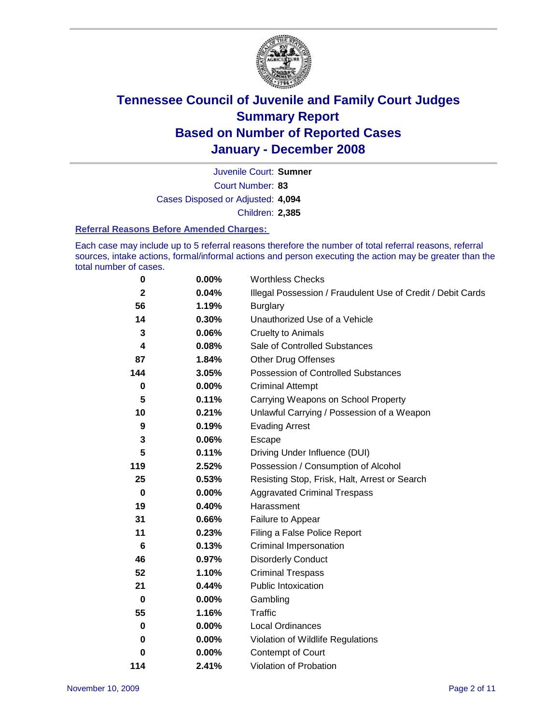

Court Number: **83** Juvenile Court: **Sumner** Cases Disposed or Adjusted: **4,094** Children: **2,385**

#### **Referral Reasons Before Amended Charges:**

Each case may include up to 5 referral reasons therefore the number of total referral reasons, referral sources, intake actions, formal/informal actions and person executing the action may be greater than the total number of cases.

| $\bf{0}$     | 0.00%    | <b>Worthless Checks</b>                                     |
|--------------|----------|-------------------------------------------------------------|
| $\mathbf{2}$ | 0.04%    | Illegal Possession / Fraudulent Use of Credit / Debit Cards |
| 56           | 1.19%    | <b>Burglary</b>                                             |
| 14           | 0.30%    | Unauthorized Use of a Vehicle                               |
| 3            | 0.06%    | <b>Cruelty to Animals</b>                                   |
| 4            | 0.08%    | Sale of Controlled Substances                               |
| 87           | 1.84%    | <b>Other Drug Offenses</b>                                  |
| 144          | 3.05%    | Possession of Controlled Substances                         |
| 0            | $0.00\%$ | <b>Criminal Attempt</b>                                     |
| 5            | 0.11%    | Carrying Weapons on School Property                         |
| 10           | 0.21%    | Unlawful Carrying / Possession of a Weapon                  |
| 9            | 0.19%    | <b>Evading Arrest</b>                                       |
| 3            | 0.06%    | Escape                                                      |
| 5            | 0.11%    | Driving Under Influence (DUI)                               |
| 119          | 2.52%    | Possession / Consumption of Alcohol                         |
| 25           | 0.53%    | Resisting Stop, Frisk, Halt, Arrest or Search               |
| $\mathbf 0$  | 0.00%    | <b>Aggravated Criminal Trespass</b>                         |
| 19           | 0.40%    | Harassment                                                  |
| 31           | 0.66%    | Failure to Appear                                           |
| 11           | 0.23%    | Filing a False Police Report                                |
| 6            | 0.13%    | Criminal Impersonation                                      |
| 46           | 0.97%    | <b>Disorderly Conduct</b>                                   |
| 52           | 1.10%    | <b>Criminal Trespass</b>                                    |
| 21           | 0.44%    | <b>Public Intoxication</b>                                  |
| 0            | $0.00\%$ | Gambling                                                    |
| 55           | 1.16%    | Traffic                                                     |
| 0            | $0.00\%$ | Local Ordinances                                            |
| 0            | 0.00%    | Violation of Wildlife Regulations                           |
| 0            | $0.00\%$ | Contempt of Court                                           |
| 114          | 2.41%    | Violation of Probation                                      |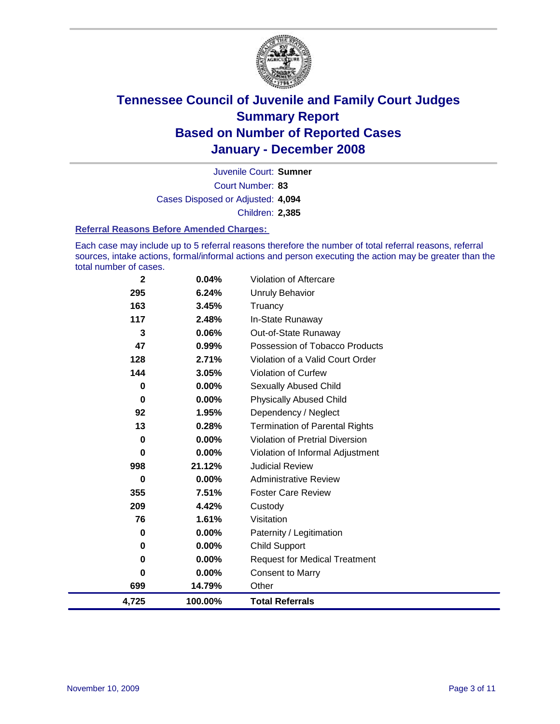

Court Number: **83** Juvenile Court: **Sumner** Cases Disposed or Adjusted: **4,094** Children: **2,385**

#### **Referral Reasons Before Amended Charges:**

Each case may include up to 5 referral reasons therefore the number of total referral reasons, referral sources, intake actions, formal/informal actions and person executing the action may be greater than the total number of cases.

| 4,725        | 100.00%  | <b>Total Referrals</b>                |
|--------------|----------|---------------------------------------|
| 699          | 14.79%   | Other                                 |
| 0            | 0.00%    | <b>Consent to Marry</b>               |
| 0            | $0.00\%$ | <b>Request for Medical Treatment</b>  |
| 0            | $0.00\%$ | <b>Child Support</b>                  |
| 0            | $0.00\%$ | Paternity / Legitimation              |
| 76           | 1.61%    | Visitation                            |
| 209          | 4.42%    | Custody                               |
| 355          | 7.51%    | <b>Foster Care Review</b>             |
| 0            | $0.00\%$ | <b>Administrative Review</b>          |
| 998          | 21.12%   | <b>Judicial Review</b>                |
| 0            | $0.00\%$ | Violation of Informal Adjustment      |
| 0            | $0.00\%$ | Violation of Pretrial Diversion       |
| 13           | 0.28%    | <b>Termination of Parental Rights</b> |
| 92           | 1.95%    | Dependency / Neglect                  |
| $\bf{0}$     | $0.00\%$ | <b>Physically Abused Child</b>        |
| $\bf{0}$     | $0.00\%$ | <b>Sexually Abused Child</b>          |
| 144          | 3.05%    | Violation of Curfew                   |
| 128          | 2.71%    | Violation of a Valid Court Order      |
| 47           | 0.99%    | Possession of Tobacco Products        |
| 3            | $0.06\%$ | Out-of-State Runaway                  |
| 117          | 2.48%    | In-State Runaway                      |
| 163          | 3.45%    | Truancy                               |
| 295          | 6.24%    | Unruly Behavior                       |
| $\mathbf{2}$ | 0.04%    | Violation of Aftercare                |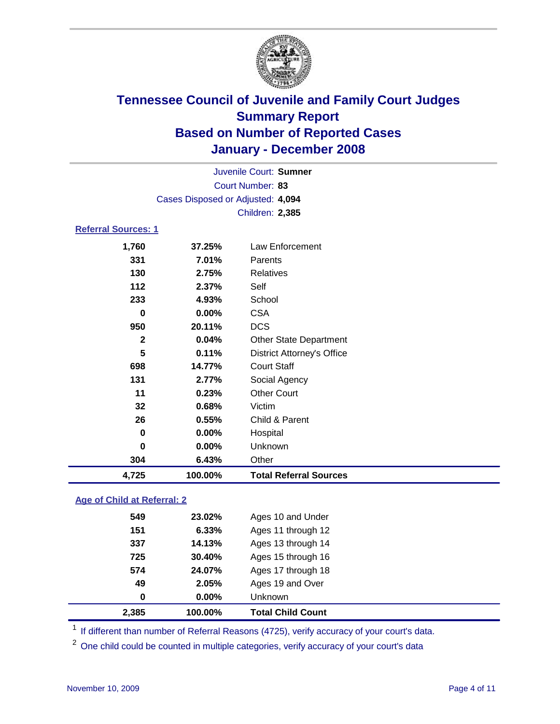

|                                   | Juvenile Court: Sumner |                                   |  |  |
|-----------------------------------|------------------------|-----------------------------------|--|--|
| Court Number: 83                  |                        |                                   |  |  |
| Cases Disposed or Adjusted: 4,094 |                        |                                   |  |  |
|                                   |                        | Children: 2,385                   |  |  |
| <b>Referral Sources: 1</b>        |                        |                                   |  |  |
| 1,760                             | 37.25%                 | Law Enforcement                   |  |  |
| 331                               | 7.01%                  | Parents                           |  |  |
| 130                               | 2.75%                  | <b>Relatives</b>                  |  |  |
| 112                               | 2.37%                  | Self                              |  |  |
| 233                               | 4.93%                  | School                            |  |  |
| 0                                 | $0.00\%$               | <b>CSA</b>                        |  |  |
| 950                               | 20.11%                 | <b>DCS</b>                        |  |  |
| $\mathbf 2$                       | 0.04%                  | <b>Other State Department</b>     |  |  |
| 5                                 | 0.11%                  | <b>District Attorney's Office</b> |  |  |
| 698                               | 14.77%                 | <b>Court Staff</b>                |  |  |
| 131                               | 2.77%                  | Social Agency                     |  |  |
| 11                                | 0.23%                  | <b>Other Court</b>                |  |  |
| 32                                | 0.68%                  | Victim                            |  |  |
| 26                                | 0.55%                  | Child & Parent                    |  |  |
| 0                                 | 0.00%                  | Hospital                          |  |  |
| 0                                 | 0.00%                  | Unknown                           |  |  |
| 304                               | 6.43%                  | Other                             |  |  |
| 4,725                             | 100.00%                | <b>Total Referral Sources</b>     |  |  |

### **Age of Child at Referral: 2**

| 2,385 | 100.00%  | <b>Total Child Count</b> |
|-------|----------|--------------------------|
| 0     | $0.00\%$ | Unknown                  |
| 49    | 2.05%    | Ages 19 and Over         |
| 574   | 24.07%   | Ages 17 through 18       |
| 725   | 30.40%   | Ages 15 through 16       |
| 337   | 14.13%   | Ages 13 through 14       |
| 151   | 6.33%    | Ages 11 through 12       |
| 549   | 23.02%   | Ages 10 and Under        |
|       |          |                          |

<sup>1</sup> If different than number of Referral Reasons (4725), verify accuracy of your court's data.

<sup>2</sup> One child could be counted in multiple categories, verify accuracy of your court's data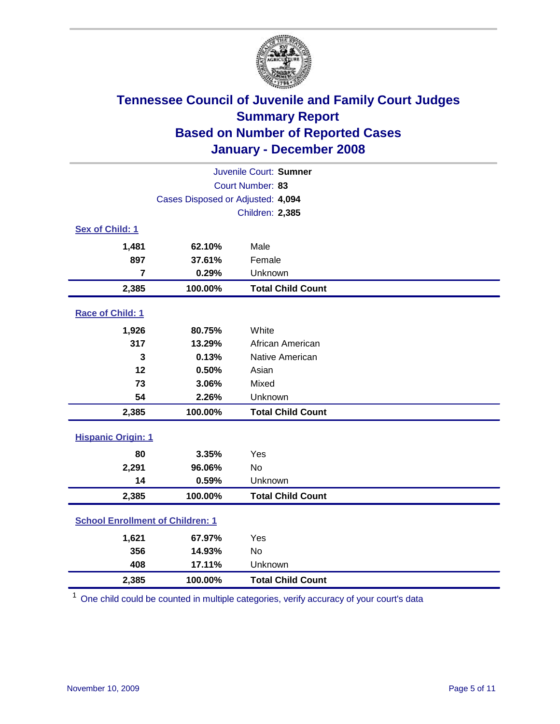

| Juvenile Court: Sumner                  |                                   |                          |  |  |
|-----------------------------------------|-----------------------------------|--------------------------|--|--|
| Court Number: 83                        |                                   |                          |  |  |
|                                         | Cases Disposed or Adjusted: 4,094 |                          |  |  |
|                                         |                                   | Children: 2,385          |  |  |
| Sex of Child: 1                         |                                   |                          |  |  |
| 1,481                                   | 62.10%                            | Male                     |  |  |
| 897                                     | 37.61%                            | Female                   |  |  |
| 7                                       | 0.29%                             | Unknown                  |  |  |
| 2,385                                   | 100.00%                           | <b>Total Child Count</b> |  |  |
| Race of Child: 1                        |                                   |                          |  |  |
| 1,926                                   | 80.75%                            | White                    |  |  |
| 317                                     | 13.29%                            | African American         |  |  |
| 3                                       | 0.13%                             | Native American          |  |  |
| 12                                      | 0.50%                             | Asian                    |  |  |
| 73                                      | 3.06%                             | Mixed                    |  |  |
| 54                                      | 2.26%                             | Unknown                  |  |  |
| 2,385                                   | 100.00%                           | <b>Total Child Count</b> |  |  |
| <b>Hispanic Origin: 1</b>               |                                   |                          |  |  |
| 80                                      | 3.35%                             | Yes                      |  |  |
| 2,291                                   | 96.06%                            | <b>No</b>                |  |  |
| 14                                      | 0.59%                             | Unknown                  |  |  |
| 2,385                                   | 100.00%                           | <b>Total Child Count</b> |  |  |
| <b>School Enrollment of Children: 1</b> |                                   |                          |  |  |
| 1,621                                   | 67.97%                            | Yes                      |  |  |
| 356                                     | 14.93%                            | No                       |  |  |
| 408                                     | 17.11%                            | Unknown                  |  |  |
| 2,385                                   | 100.00%                           | <b>Total Child Count</b> |  |  |

<sup>1</sup> One child could be counted in multiple categories, verify accuracy of your court's data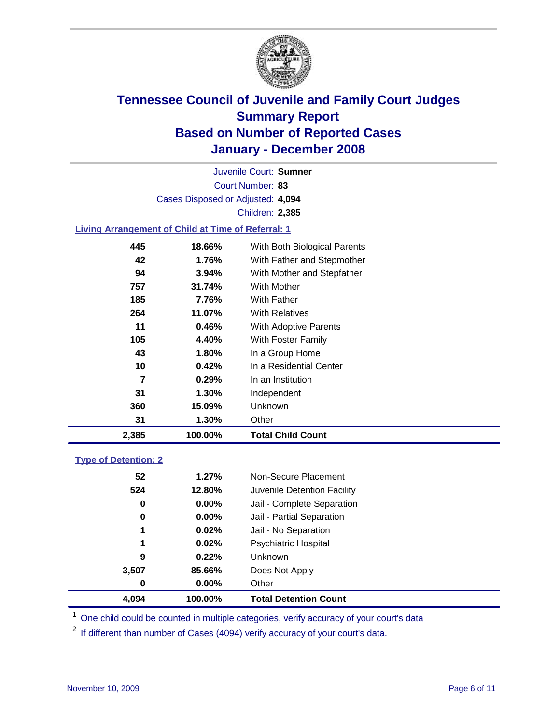

Court Number: **83** Juvenile Court: **Sumner** Cases Disposed or Adjusted: **4,094** Children: **2,385**

### **Living Arrangement of Child at Time of Referral: 1**

| 2,385 |     | 100.00%  | Total Child Count            |
|-------|-----|----------|------------------------------|
|       | 31  | 1.30%    | Other                        |
|       | 360 | 15.09%   | Unknown                      |
|       | 31  | 1.30%    | Independent                  |
|       | 7   | 0.29%    | In an Institution            |
|       | 10  | 0.42%    | In a Residential Center      |
|       | 43  | 1.80%    | In a Group Home              |
|       | 105 | 4.40%    | With Foster Family           |
|       | 11  | 0.46%    | With Adoptive Parents        |
|       | 264 | 11.07%   | <b>With Relatives</b>        |
|       | 185 | 7.76%    | <b>With Father</b>           |
|       | 757 | 31.74%   | With Mother                  |
|       | 94  | $3.94\%$ | With Mother and Stepfather   |
|       | 42  | 1.76%    | With Father and Stepmother   |
|       | 445 | 18.66%   | With Both Biological Parents |
|       |     |          |                              |

#### **Type of Detention: 2**

| 4.094 | 100.00%  | <b>Total Detention Count</b> |  |
|-------|----------|------------------------------|--|
| 0     | 0.00%    | Other                        |  |
| 3,507 | 85.66%   | Does Not Apply               |  |
| 9     | 0.22%    | <b>Unknown</b>               |  |
| 1     | 0.02%    | <b>Psychiatric Hospital</b>  |  |
| 1     | 0.02%    | Jail - No Separation         |  |
| 0     | $0.00\%$ | Jail - Partial Separation    |  |
| 0     | 0.00%    | Jail - Complete Separation   |  |
| 524   | 12.80%   | Juvenile Detention Facility  |  |
| 52    | 1.27%    | Non-Secure Placement         |  |
|       |          |                              |  |

<sup>1</sup> One child could be counted in multiple categories, verify accuracy of your court's data

<sup>2</sup> If different than number of Cases (4094) verify accuracy of your court's data.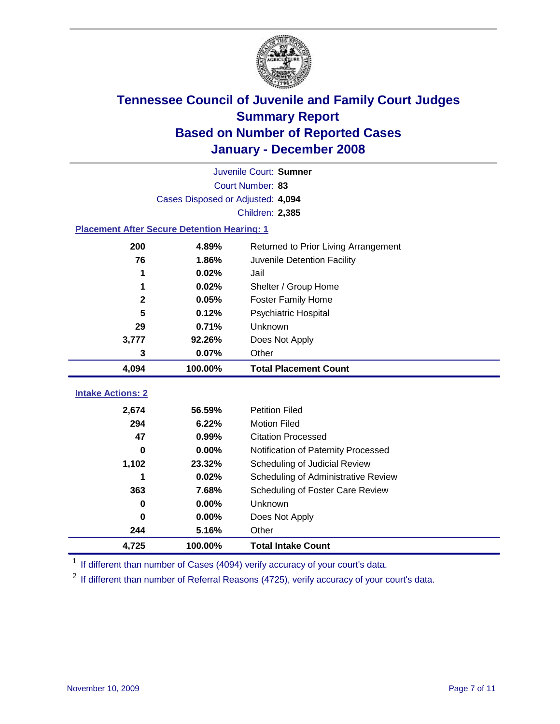

|                                                    | Juvenile Court: Sumner            |                                      |  |  |  |
|----------------------------------------------------|-----------------------------------|--------------------------------------|--|--|--|
|                                                    | Court Number: 83                  |                                      |  |  |  |
|                                                    | Cases Disposed or Adjusted: 4,094 |                                      |  |  |  |
|                                                    |                                   | Children: 2,385                      |  |  |  |
| <b>Placement After Secure Detention Hearing: 1</b> |                                   |                                      |  |  |  |
| 200                                                | 4.89%                             | Returned to Prior Living Arrangement |  |  |  |
| 76                                                 | 1.86%                             | Juvenile Detention Facility          |  |  |  |
| 1                                                  | 0.02%                             | Jail                                 |  |  |  |
| 1                                                  | 0.02%                             | Shelter / Group Home                 |  |  |  |
| $\mathbf 2$                                        | 0.05%                             | <b>Foster Family Home</b>            |  |  |  |
| 5                                                  | 0.12%                             | Psychiatric Hospital                 |  |  |  |
| 29                                                 | 0.71%                             | Unknown                              |  |  |  |
| 3,777                                              | 92.26%                            | Does Not Apply                       |  |  |  |
| 3                                                  | 0.07%                             | Other                                |  |  |  |
| 4,094                                              | 100.00%                           | <b>Total Placement Count</b>         |  |  |  |
|                                                    |                                   |                                      |  |  |  |
| <b>Intake Actions: 2</b>                           |                                   |                                      |  |  |  |
| 2,674                                              | 56.59%                            | <b>Petition Filed</b>                |  |  |  |
| 294                                                | 6.22%                             | <b>Motion Filed</b>                  |  |  |  |
| 47                                                 | 0.99%                             | <b>Citation Processed</b>            |  |  |  |
| 0                                                  | 0.00%                             | Notification of Paternity Processed  |  |  |  |
| 1,102                                              | 23.32%                            | Scheduling of Judicial Review        |  |  |  |
| 1                                                  | 0.02%                             | Scheduling of Administrative Review  |  |  |  |
| 363                                                | 7.68%                             | Scheduling of Foster Care Review     |  |  |  |
| $\bf{0}$                                           | 0.00%                             | Unknown                              |  |  |  |
| 0                                                  | 0.00%                             | Does Not Apply                       |  |  |  |
| 244                                                | 5.16%                             | Other                                |  |  |  |
| 4,725                                              | 100.00%                           | <b>Total Intake Count</b>            |  |  |  |

<sup>1</sup> If different than number of Cases (4094) verify accuracy of your court's data.

<sup>2</sup> If different than number of Referral Reasons (4725), verify accuracy of your court's data.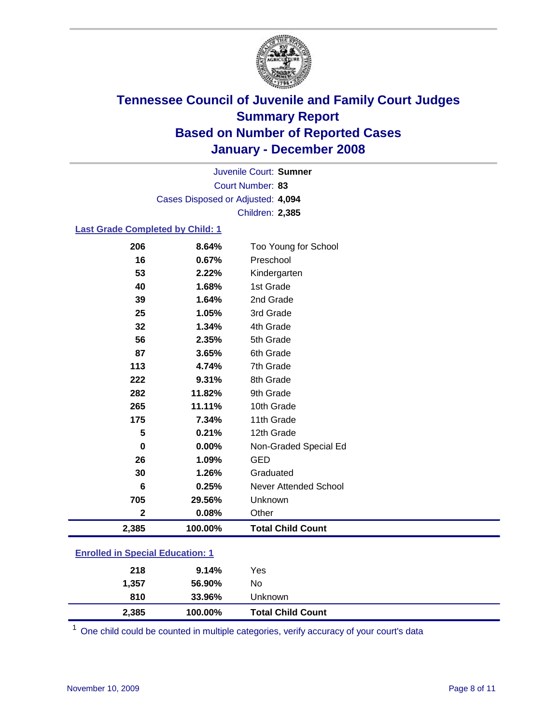

Court Number: **83** Juvenile Court: **Sumner** Cases Disposed or Adjusted: **4,094** Children: **2,385**

#### **Last Grade Completed by Child: 1**

| 2,385                   | 100.00% | <b>Total Child Count</b> |
|-------------------------|---------|--------------------------|
| $\overline{\mathbf{2}}$ | 0.08%   | Other                    |
| 705                     | 29.56%  | Unknown                  |
| 6                       | 0.25%   | Never Attended School    |
| 30                      | 1.26%   | Graduated                |
| 26                      | 1.09%   | <b>GED</b>               |
| $\bf{0}$                | 0.00%   | Non-Graded Special Ed    |
| 5                       | 0.21%   | 12th Grade               |
| 175                     | 7.34%   | 11th Grade               |
| 265                     | 11.11%  | 10th Grade               |
| 282                     | 11.82%  | 9th Grade                |
| 222                     | 9.31%   | 8th Grade                |
| 113                     | 4.74%   | 7th Grade                |
| 87                      | 3.65%   | 6th Grade                |
| 56                      | 2.35%   | 5th Grade                |
| 32                      | 1.34%   | 4th Grade                |
| 25                      | 1.05%   | 3rd Grade                |
| 39                      | 1.64%   | 2nd Grade                |
| 40                      | 1.68%   | 1st Grade                |
| 53                      | 2.22%   | Kindergarten             |
| 16                      | 0.67%   | Preschool                |
| 206                     | 8.64%   | Too Young for School     |

### **Enrolled in Special Education: 1**

| 810<br>2,385 | 33.96%<br>100.00% | Unknown<br><b>Total Child Count</b> |  |
|--------------|-------------------|-------------------------------------|--|
| 1,357        | 56.90%            | No                                  |  |
| 218          | 9.14%             | Yes                                 |  |

<sup>1</sup> One child could be counted in multiple categories, verify accuracy of your court's data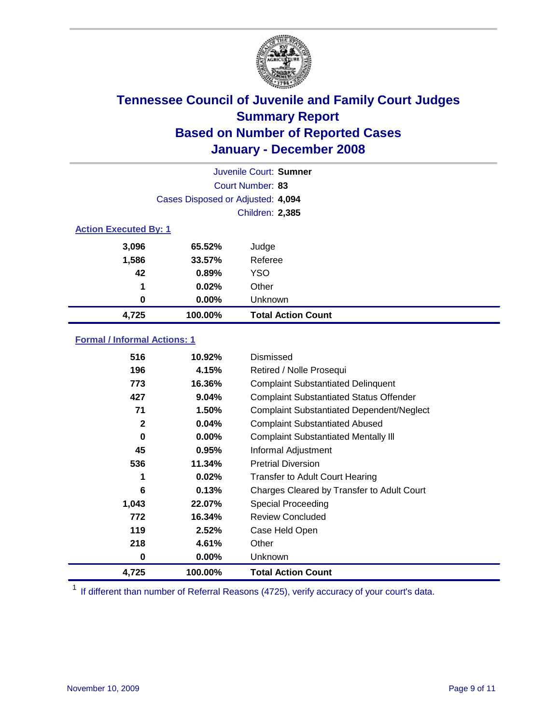

| Juvenile Court: Sumner       |                                   |                           |  |  |
|------------------------------|-----------------------------------|---------------------------|--|--|
|                              | Court Number: 83                  |                           |  |  |
|                              | Cases Disposed or Adjusted: 4,094 |                           |  |  |
|                              |                                   | <b>Children: 2,385</b>    |  |  |
| <b>Action Executed By: 1</b> |                                   |                           |  |  |
| 3,096                        | 65.52%                            | Judge                     |  |  |
| 1,586                        | 33.57%                            | Referee                   |  |  |
| 42                           | 0.89%                             | <b>YSO</b>                |  |  |
| 1                            | 0.02%                             | Other                     |  |  |
| 0                            | $0.00\%$                          | Unknown                   |  |  |
| 4,725                        | 100.00%                           | <b>Total Action Count</b> |  |  |

### **Formal / Informal Actions: 1**

| 516          | 10.92%   | Dismissed                                        |
|--------------|----------|--------------------------------------------------|
| 196          | 4.15%    | Retired / Nolle Prosequi                         |
| 773          | 16.36%   | <b>Complaint Substantiated Delinquent</b>        |
| 427          | 9.04%    | <b>Complaint Substantiated Status Offender</b>   |
| 71           | 1.50%    | <b>Complaint Substantiated Dependent/Neglect</b> |
| $\mathbf{2}$ | 0.04%    | <b>Complaint Substantiated Abused</b>            |
| 0            | $0.00\%$ | <b>Complaint Substantiated Mentally III</b>      |
| 45           | 0.95%    | Informal Adjustment                              |
| 536          | 11.34%   | <b>Pretrial Diversion</b>                        |
| 1            | 0.02%    | <b>Transfer to Adult Court Hearing</b>           |
| 6            | 0.13%    | Charges Cleared by Transfer to Adult Court       |
| 1,043        | 22.07%   | Special Proceeding                               |
| 772          | 16.34%   | Review Concluded                                 |
| 119          | 2.52%    | Case Held Open                                   |
| 218          | 4.61%    | Other                                            |
| 0            | $0.00\%$ | Unknown                                          |
| 4,725        | 100.00%  | <b>Total Action Count</b>                        |

<sup>1</sup> If different than number of Referral Reasons (4725), verify accuracy of your court's data.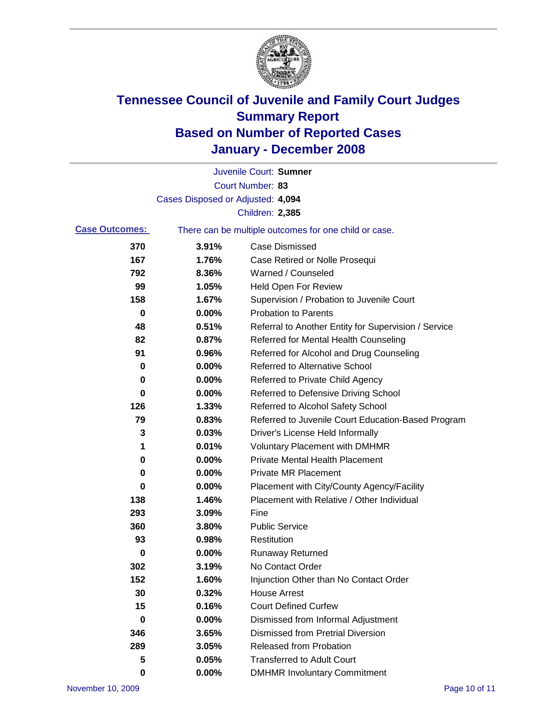

|                       |                                   | Juvenile Court: Sumner                                |
|-----------------------|-----------------------------------|-------------------------------------------------------|
|                       |                                   | Court Number: 83                                      |
|                       | Cases Disposed or Adjusted: 4,094 |                                                       |
|                       |                                   | <b>Children: 2,385</b>                                |
| <b>Case Outcomes:</b> |                                   | There can be multiple outcomes for one child or case. |
| 370                   | 3.91%                             | Case Dismissed                                        |
| 167                   | 1.76%                             | Case Retired or Nolle Prosequi                        |
| 792                   | 8.36%                             | Warned / Counseled                                    |
| 99                    | 1.05%                             | <b>Held Open For Review</b>                           |
| 158                   | 1.67%                             | Supervision / Probation to Juvenile Court             |
| 0                     | 0.00%                             | <b>Probation to Parents</b>                           |
| 48                    | 0.51%                             | Referral to Another Entity for Supervision / Service  |
| 82                    | 0.87%                             | Referred for Mental Health Counseling                 |
| 91                    | 0.96%                             | Referred for Alcohol and Drug Counseling              |
| 0                     | 0.00%                             | Referred to Alternative School                        |
| 0                     | 0.00%                             | Referred to Private Child Agency                      |
| 0                     | 0.00%                             | Referred to Defensive Driving School                  |
| 126                   | 1.33%                             | Referred to Alcohol Safety School                     |
| 79                    | 0.83%                             | Referred to Juvenile Court Education-Based Program    |
| 3                     | 0.03%                             | Driver's License Held Informally                      |
| 1                     | 0.01%                             | <b>Voluntary Placement with DMHMR</b>                 |
| 0                     | 0.00%                             | <b>Private Mental Health Placement</b>                |
| 0                     | 0.00%                             | <b>Private MR Placement</b>                           |
| 0                     | 0.00%                             | Placement with City/County Agency/Facility            |
| 138                   | 1.46%                             | Placement with Relative / Other Individual            |
| 293                   | 3.09%                             | Fine                                                  |
| 360                   | 3.80%                             | <b>Public Service</b>                                 |
| 93                    | 0.98%                             | Restitution                                           |
| 0                     | 0.00%                             | <b>Runaway Returned</b>                               |
| 302                   | 3.19%                             | No Contact Order                                      |
| 152                   | 1.60%                             | Injunction Other than No Contact Order                |
| 30                    | 0.32%                             | <b>House Arrest</b>                                   |
| 15                    | 0.16%                             | <b>Court Defined Curfew</b>                           |
| 0                     | 0.00%                             | Dismissed from Informal Adjustment                    |
| 346                   | 3.65%                             | <b>Dismissed from Pretrial Diversion</b>              |
| 289                   | 3.05%                             | Released from Probation                               |
| 5                     | 0.05%                             | <b>Transferred to Adult Court</b>                     |
| 0                     | 0.00%                             | <b>DMHMR Involuntary Commitment</b>                   |